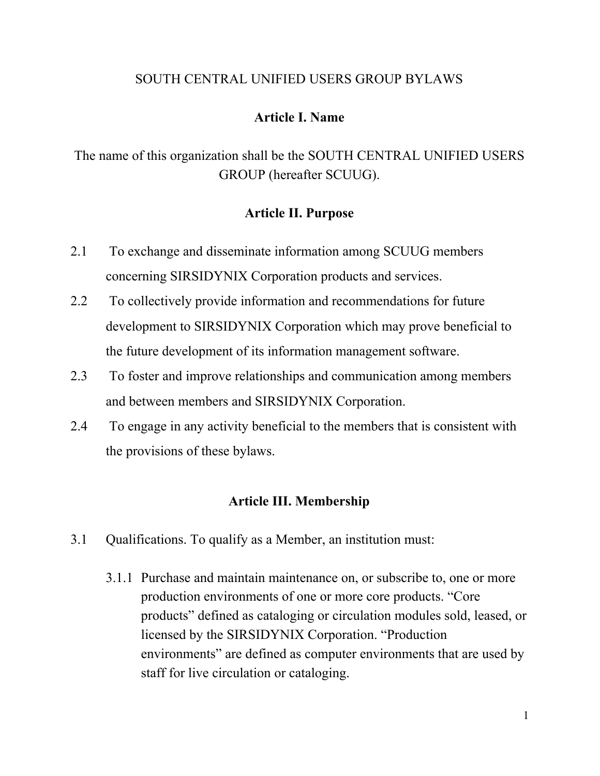#### SOUTH CENTRAL UNIFIED USERS GROUP BYLAWS

#### **Article I. Name**

The name of this organization shall be the SOUTH CENTRAL UNIFIED USERS GROUP (hereafter SCUUG).

#### **Article II. Purpose**

- 2.1 To exchange and disseminate information among SCUUG members concerning SIRSIDYNIX Corporation products and services.
- 2.2 To collectively provide information and recommendations for future development to SIRSIDYNIX Corporation which may prove beneficial to the future development of its information management software.
- 2.3 To foster and improve relationships and communication among members and between members and SIRSIDYNIX Corporation.
- 2.4 To engage in any activity beneficial to the members that is consistent with the provisions of these bylaws.

#### **Article III. Membership**

- 3.1 Qualifications. To qualify as a Member, an institution must:
	- 3.1.1 Purchase and maintain maintenance on, or subscribe to, one or more production environments of one or more core products. "Core products" defined as cataloging or circulation modules sold, leased, or licensed by the SIRSIDYNIX Corporation. "Production environments" are defined as computer environments that are used by staff for live circulation or cataloging.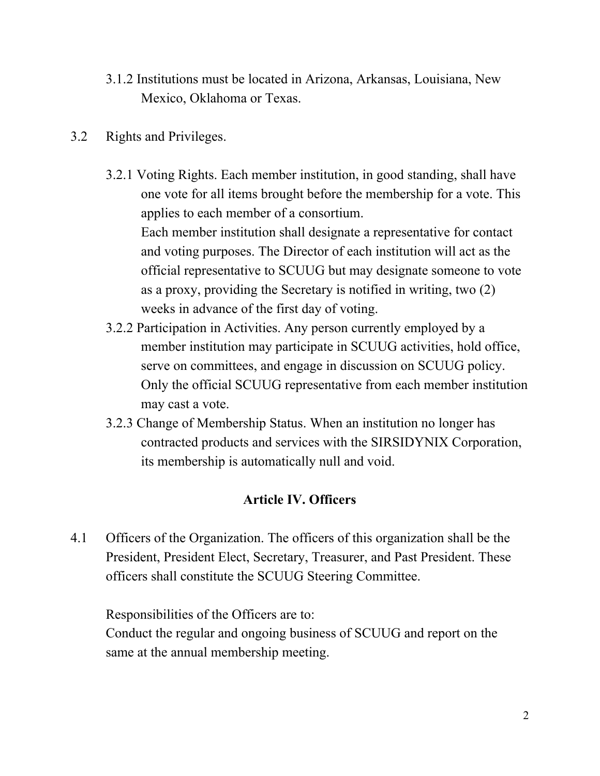- 3.1.2 Institutions must be located in Arizona, Arkansas, Louisiana, New Mexico, Oklahoma or Texas.
- 3.2 Rights and Privileges.
	- 3.2.1 Voting Rights. Each member institution, in good standing, shall have one vote for all items brought before the membership for a vote. This applies to each member of a consortium. Each member institution shall designate a representative for contact and voting purposes. The Director of each institution will act as the official representative to SCUUG but may designate someone to vote as a proxy, providing the Secretary is notified in writing, two (2) weeks in advance of the first day of voting.
	- 3.2.2 Participation in Activities. Any person currently employed by a member institution may participate in SCUUG activities, hold office, serve on committees, and engage in discussion on SCUUG policy. Only the official SCUUG representative from each member institution may cast a vote.
	- 3.2.3 Change of Membership Status. When an institution no longer has contracted products and services with the SIRSIDYNIX Corporation, its membership is automatically null and void.

# **Article IV. Officers**

4.1 Officers of the Organization. The officers of this organization shall be the President, President Elect, Secretary, Treasurer, and Past President. These officers shall constitute the SCUUG Steering Committee.

Responsibilities of the Officers are to: Conduct the regular and ongoing business of SCUUG and report on the same at the annual membership meeting.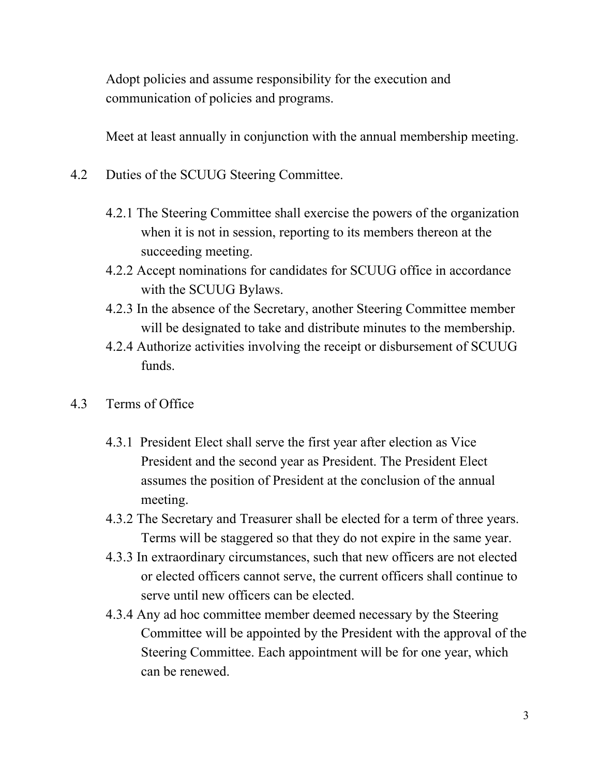Adopt policies and assume responsibility for the execution and communication of policies and programs.

Meet at least annually in conjunction with the annual membership meeting.

- 4.2 Duties of the SCUUG Steering Committee.
	- 4.2.1 The Steering Committee shall exercise the powers of the organization when it is not in session, reporting to its members thereon at the succeeding meeting.
	- 4.2.2 Accept nominations for candidates for SCUUG office in accordance with the SCUUG Bylaws.
	- 4.2.3 In the absence of the Secretary, another Steering Committee member will be designated to take and distribute minutes to the membership.
	- 4.2.4 Authorize activities involving the receipt or disbursement of SCUUG funds.
- 4.3 Terms of Office
	- 4.3.1 President Elect shall serve the first year after election as Vice President and the second year as President. The President Elect assumes the position of President at the conclusion of the annual meeting.
	- 4.3.2 The Secretary and Treasurer shall be elected for a term of three years. Terms will be staggered so that they do not expire in the same year.
	- 4.3.3 In extraordinary circumstances, such that new officers are not elected or elected officers cannot serve, the current officers shall continue to serve until new officers can be elected.
	- 4.3.4 Any ad hoc committee member deemed necessary by the Steering Committee will be appointed by the President with the approval of the Steering Committee. Each appointment will be for one year, which can be renewed.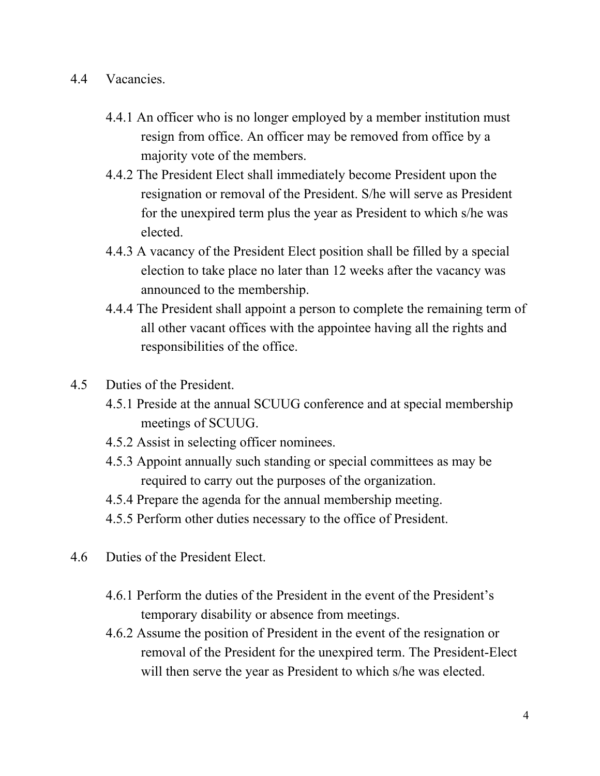- 4.4 Vacancies.
	- 4.4.1 An officer who is no longer employed by a member institution must resign from office. An officer may be removed from office by a majority vote of the members.
	- 4.4.2 The President Elect shall immediately become President upon the resignation or removal of the President. S/he will serve as President for the unexpired term plus the year as President to which s/he was elected.
	- 4.4.3 A vacancy of the President Elect position shall be filled by a special election to take place no later than 12 weeks after the vacancy was announced to the membership.
	- 4.4.4 The President shall appoint a person to complete the remaining term of all other vacant offices with the appointee having all the rights and responsibilities of the office.
- 4.5 Duties of the President.
	- 4.5.1 Preside at the annual SCUUG conference and at special membership meetings of SCUUG.
	- 4.5.2 Assist in selecting officer nominees.
	- 4.5.3 Appoint annually such standing or special committees as may be required to carry out the purposes of the organization.
	- 4.5.4 Prepare the agenda for the annual membership meeting.
	- 4.5.5 Perform other duties necessary to the office of President.
- 4.6 Duties of the President Elect.
	- 4.6.1 Perform the duties of the President in the event of the President's temporary disability or absence from meetings.
	- 4.6.2 Assume the position of President in the event of the resignation or removal of the President for the unexpired term. The President-Elect will then serve the year as President to which s/he was elected.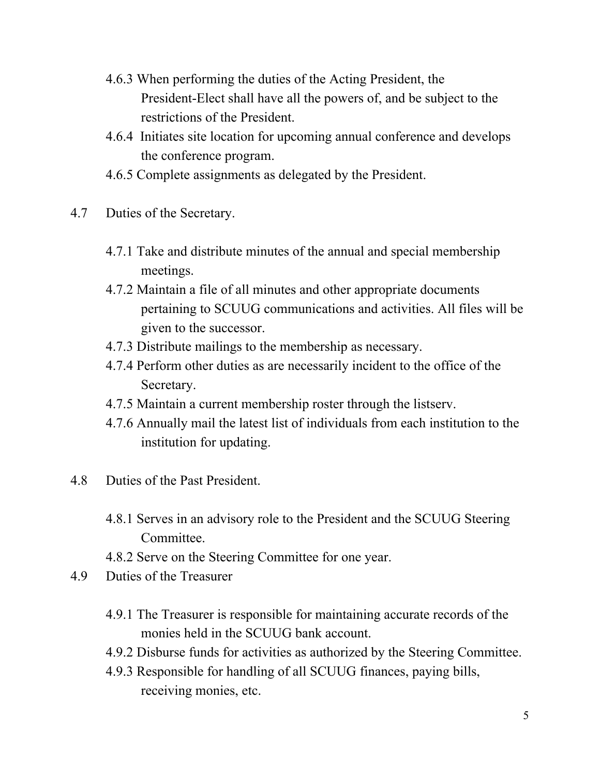- 4.6.3 When performing the duties of the Acting President, the President-Elect shall have all the powers of, and be subject to the restrictions of the President.
- 4.6.4 Initiates site location for upcoming annual conference and develops the conference program.
- 4.6.5 Complete assignments as delegated by the President.
- 4.7 Duties of the Secretary.
	- 4.7.1 Take and distribute minutes of the annual and special membership meetings.
	- 4.7.2 Maintain a file of all minutes and other appropriate documents pertaining to SCUUG communications and activities. All files will be given to the successor.
	- 4.7.3 Distribute mailings to the membership as necessary.
	- 4.7.4 Perform other duties as are necessarily incident to the office of the Secretary.
	- 4.7.5 Maintain a current membership roster through the listserv.
	- 4.7.6 Annually mail the latest list of individuals from each institution to the institution for updating.
- 4.8 Duties of the Past President.
	- 4.8.1 Serves in an advisory role to the President and the SCUUG Steering Committee.
	- 4.8.2 Serve on the Steering Committee for one year.
- 4.9 Duties of the Treasurer
	- 4.9.1 The Treasurer is responsible for maintaining accurate records of the monies held in the SCUUG bank account.
	- 4.9.2 Disburse funds for activities as authorized by the Steering Committee.
	- 4.9.3 Responsible for handling of all SCUUG finances, paying bills, receiving monies, etc.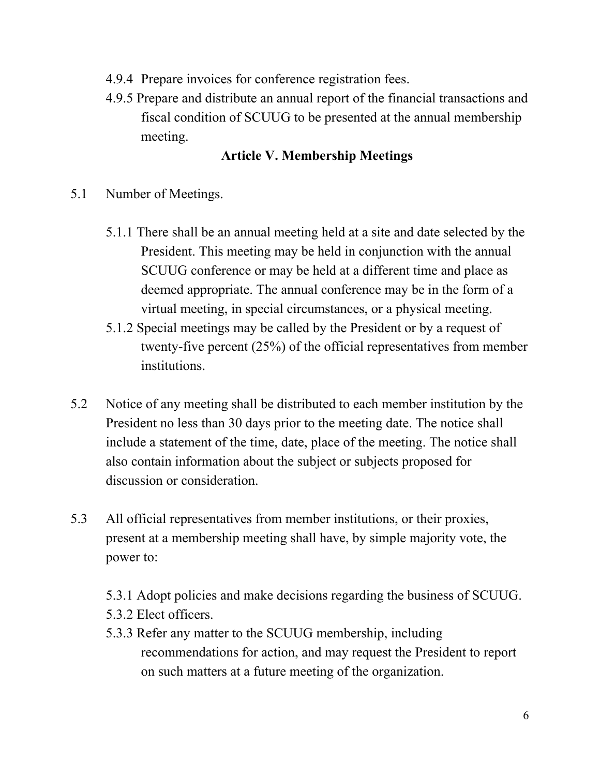- 4.9.4 Prepare invoices for conference registration fees.
- 4.9.5 Prepare and distribute an annual report of the financial transactions and fiscal condition of SCUUG to be presented at the annual membership meeting.

# **Article V. Membership Meetings**

- 5.1 Number of Meetings.
	- 5.1.1 There shall be an annual meeting held at a site and date selected by the President. This meeting may be held in conjunction with the annual SCUUG conference or may be held at a different time and place as deemed appropriate. The annual conference may be in the form of a virtual meeting, in special circumstances, or a physical meeting.
	- 5.1.2 Special meetings may be called by the President or by a request of twenty-five percent (25%) of the official representatives from member institutions.
- 5.2 Notice of any meeting shall be distributed to each member institution by the President no less than 30 days prior to the meeting date. The notice shall include a statement of the time, date, place of the meeting. The notice shall also contain information about the subject or subjects proposed for discussion or consideration.
- 5.3 All official representatives from member institutions, or their proxies, present at a membership meeting shall have, by simple majority vote, the power to:
	- 5.3.1 Adopt policies and make decisions regarding the business of SCUUG.
	- 5.3.2 Elect officers.
	- 5.3.3 Refer any matter to the SCUUG membership, including recommendations for action, and may request the President to report on such matters at a future meeting of the organization.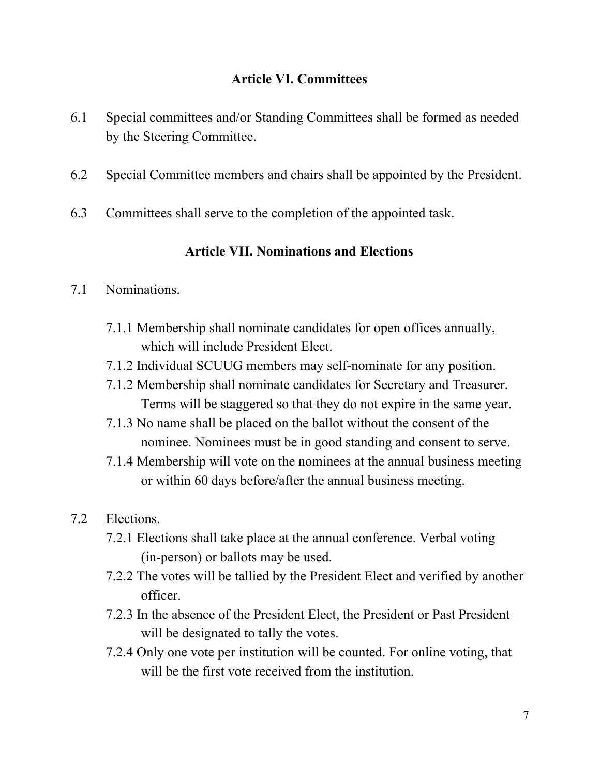## **Article VI. Committees**

- 6.1 Special committees and/or Standing Committees shall be formed as needed by the Steering Committee.
- 6.2 Special Committee members and chairs shall be appointed by the President.
- 6.3 Committees shall serve to the completion of the appointed task.

## **Article VII. Nominations and Elections**

#### 7.1 Nominations.

- 7.1.1 Membership shall nominate candidates for open offices annually, which will include President Elect.
- 7.1.2 Individual SCUUG members may self-nominate for any position.
- 7.1.2 Membership shall nominate candidates for Secretary and Treasurer. Terms will be staggered so that they do not expire in the same year.
- 7.1.3 No name shall be placed on the ballot without the consent of the nominee. Nominees must be in good standing and consent to serve.
- 7.1.4 Membership will vote on the nominees at the annual business meeting or within 60 days before/after the annual business meeting.
- 7.2 Elections.
	- 7.2.1 Elections shall take place at the annual conference. Verbal voting (in-person) or ballots may be used.
	- 7.2.2 The votes will be tallied by the President Elect and verified by another officer.
	- 7.2.3 In the absence of the President Elect, the President or Past President will be designated to tally the votes.
	- 7.2.4 Only one vote per institution will be counted. For online voting, that will be the first vote received from the institution.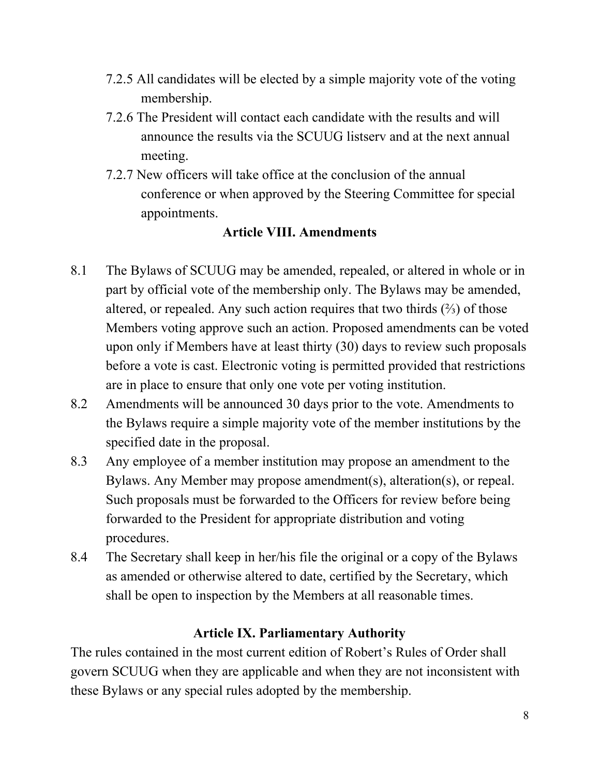- 7.2.5 All candidates will be elected by a simple majority vote of the voting membership.
- 7.2.6 The President will contact each candidate with the results and will announce the results via the SCUUG listserv and at the next annual meeting.
- 7.2.7 New officers will take office at the conclusion of the annual conference or when approved by the Steering Committee for special appointments.

## **Article VIII. Amendments**

- 8.1 The Bylaws of SCUUG may be amended, repealed, or altered in whole or in part by official vote of the membership only. The Bylaws may be amended, altered, or repealed. Any such action requires that two thirds  $(\frac{2}{3})$  of those Members voting approve such an action. Proposed amendments can be voted upon only if Members have at least thirty (30) days to review such proposals before a vote is cast. Electronic voting is permitted provided that restrictions are in place to ensure that only one vote per voting institution.
- 8.2 Amendments will be announced 30 days prior to the vote. Amendments to the Bylaws require a simple majority vote of the member institutions by the specified date in the proposal.
- 8.3 Any employee of a member institution may propose an amendment to the Bylaws. Any Member may propose amendment(s), alteration(s), or repeal. Such proposals must be forwarded to the Officers for review before being forwarded to the President for appropriate distribution and voting procedures.
- 8.4 The Secretary shall keep in her/his file the original or a copy of the Bylaws as amended or otherwise altered to date, certified by the Secretary, which shall be open to inspection by the Members at all reasonable times.

## **Article IX. Parliamentary Authority**

The rules contained in the most current edition of Robert's Rules of Order shall govern SCUUG when they are applicable and when they are not inconsistent with these Bylaws or any special rules adopted by the membership.